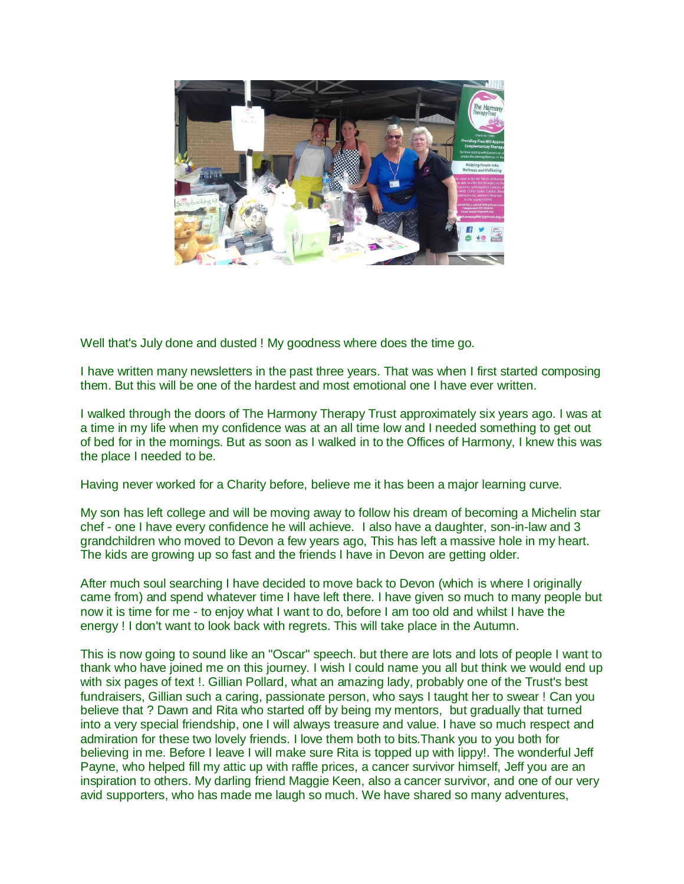

Well that's July done and dusted ! My goodness where does the time go.

I have written many newsletters in the past three years. That was when I first started composing them. But this will be one of the hardest and most emotional one I have ever written.

I walked through the doors of The Harmony Therapy Trust approximately six years ago. I was at a time in my life when my confidence was at an all time low and I needed something to get out of bed for in the mornings. But as soon as I walked in to the Offices of Harmony, I knew this was the place I needed to be.

Having never worked for a Charity before, believe me it has been a major learning curve.

My son has left college and will be moving away to follow his dream of becoming a Michelin star chef - one I have every confidence he will achieve. I also have a daughter, son-in-law and 3 grandchildren who moved to Devon a few years ago, This has left a massive hole in my heart. The kids are growing up so fast and the friends I have in Devon are getting older.

After much soul searching I have decided to move back to Devon (which is where I originally came from) and spend whatever time I have left there. I have given so much to many people but now it is time for me - to enjoy what I want to do, before I am too old and whilst I have the energy ! I don't want to look back with regrets. This will take place in the Autumn.

This is now going to sound like an "Oscar" speech. but there are lots and lots of people I want to thank who have joined me on this journey. I wish I could name you all but think we would end up with six pages of text !. Gillian Pollard, what an amazing lady, probably one of the Trust's best fundraisers, Gillian such a caring, passionate person, who says I taught her to swear ! Can you believe that ? Dawn and Rita who started off by being my mentors, but gradually that turned into a very special friendship, one I will always treasure and value. I have so much respect and admiration for these two lovely friends. I love them both to bits.Thank you to you both for believing in me. Before I leave I will make sure Rita is topped up with lippy!. The wonderful Jeff Payne, who helped fill my attic up with raffle prices, a cancer survivor himself, Jeff you are an inspiration to others. My darling friend Maggie Keen, also a cancer survivor, and one of our very avid supporters, who has made me laugh so much. We have shared so many adventures,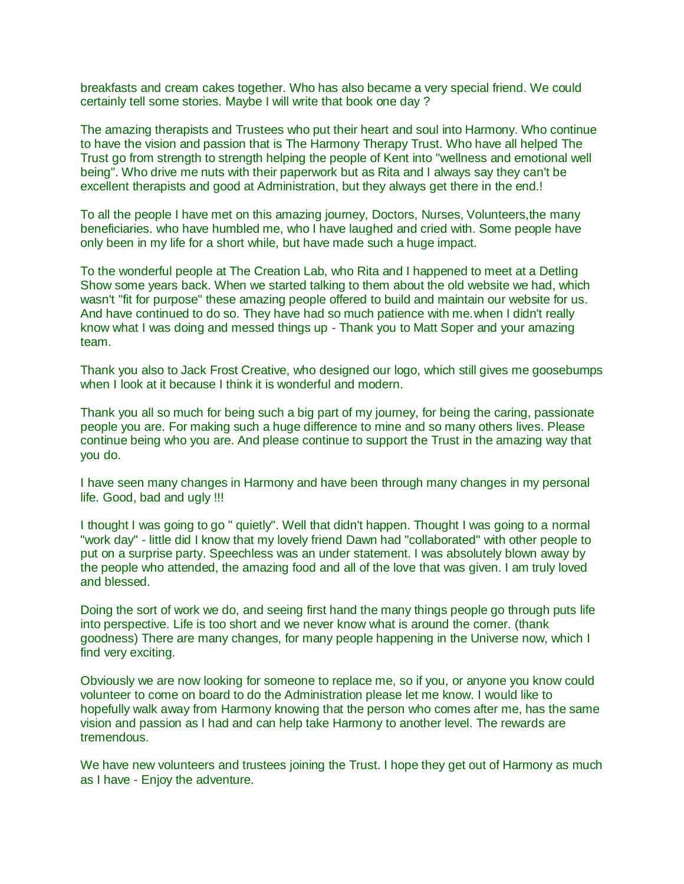breakfasts and cream cakes together. Who has also became a very special friend. We could certainly tell some stories. Maybe I will write that book one day ?

The amazing therapists and Trustees who put their heart and soul into Harmony. Who continue to have the vision and passion that is The Harmony Therapy Trust. Who have all helped The Trust go from strength to strength helping the people of Kent into "wellness and emotional well being". Who drive me nuts with their paperwork but as Rita and I always say they can't be excellent therapists and good at Administration, but they always get there in the end.!

To all the people I have met on this amazing journey, Doctors, Nurses, Volunteers,the many beneficiaries. who have humbled me, who I have laughed and cried with. Some people have only been in my life for a short while, but have made such a huge impact.

To the wonderful people at The Creation Lab, who Rita and I happened to meet at a Detling Show some years back. When we started talking to them about the old website we had, which wasn't "fit for purpose" these amazing people offered to build and maintain our website for us. And have continued to do so. They have had so much patience with me.when I didn't really know what I was doing and messed things up - Thank you to Matt Soper and your amazing team.

Thank you also to Jack Frost Creative, who designed our logo, which still gives me goosebumps when I look at it because I think it is wonderful and modern.

Thank you all so much for being such a big part of my journey, for being the caring, passionate people you are. For making such a huge difference to mine and so many others lives. Please continue being who you are. And please continue to support the Trust in the amazing way that you do.

I have seen many changes in Harmony and have been through many changes in my personal life. Good, bad and ugly !!!

I thought I was going to go " quietly". Well that didn't happen. Thought I was going to a normal "work day" - little did I know that my lovely friend Dawn had "collaborated" with other people to put on a surprise party. Speechless was an under statement. I was absolutely blown away by the people who attended, the amazing food and all of the love that was given. I am truly loved and blessed.

Doing the sort of work we do, and seeing first hand the many things people go through puts life into perspective. Life is too short and we never know what is around the corner. (thank goodness) There are many changes, for many people happening in the Universe now, which I find very exciting.

Obviously we are now looking for someone to replace me, so if you, or anyone you know could volunteer to come on board to do the Administration please let me know. I would like to hopefully walk away from Harmony knowing that the person who comes after me, has the same vision and passion as I had and can help take Harmony to another level. The rewards are tremendous.

We have new volunteers and trustees joining the Trust. I hope they get out of Harmony as much as I have - Enjoy the adventure.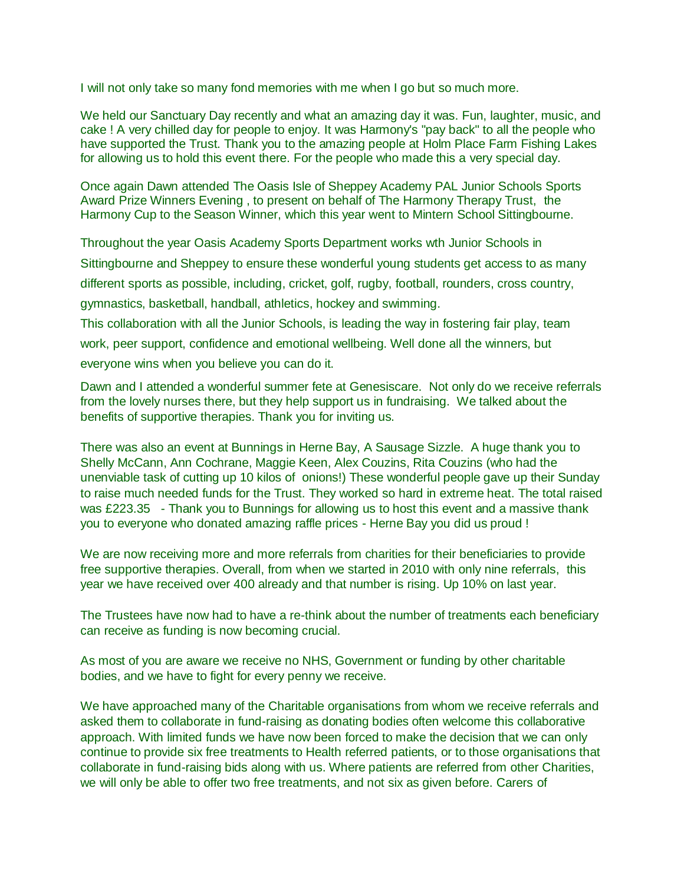I will not only take so many fond memories with me when I go but so much more.

We held our Sanctuary Day recently and what an amazing day it was. Fun, laughter, music, and cake ! A very chilled day for people to enjoy. It was Harmony's "pay back" to all the people who have supported the Trust. Thank you to the amazing people at Holm Place Farm Fishing Lakes for allowing us to hold this event there. For the people who made this a very special day.

Once again Dawn attended The Oasis Isle of Sheppey Academy PAL Junior Schools Sports Award Prize Winners Evening , to present on behalf of The Harmony Therapy Trust, the Harmony Cup to the Season Winner, which this year went to Mintern School Sittingbourne.

Throughout the year Oasis Academy Sports Department works wth Junior Schools in Sittingbourne and Sheppey to ensure these wonderful young students get access to as many different sports as possible, including, cricket, golf, rugby, football, rounders, cross country, gymnastics, basketball, handball, athletics, hockey and swimming.

This collaboration with all the Junior Schools, is leading the way in fostering fair play, team work, peer support, confidence and emotional wellbeing. Well done all the winners, but everyone wins when you believe you can do it.

Dawn and I attended a wonderful summer fete at Genesiscare. Not only do we receive referrals from the lovely nurses there, but they help support us in fundraising. We talked about the benefits of supportive therapies. Thank you for inviting us.

There was also an event at Bunnings in Herne Bay, A Sausage Sizzle. A huge thank you to Shelly McCann, Ann Cochrane, Maggie Keen, Alex Couzins, Rita Couzins (who had the unenviable task of cutting up 10 kilos of onions!) These wonderful people gave up their Sunday to raise much needed funds for the Trust. They worked so hard in extreme heat. The total raised was £223.35 - Thank you to Bunnings for allowing us to host this event and a massive thank you to everyone who donated amazing raffle prices - Herne Bay you did us proud !

We are now receiving more and more referrals from charities for their beneficiaries to provide free supportive therapies. Overall, from when we started in 2010 with only nine referrals, this year we have received over 400 already and that number is rising. Up 10% on last year.

The Trustees have now had to have a re-think about the number of treatments each beneficiary can receive as funding is now becoming crucial.

As most of you are aware we receive no NHS, Government or funding by other charitable bodies, and we have to fight for every penny we receive.

We have approached many of the Charitable organisations from whom we receive referrals and asked them to collaborate in fund-raising as donating bodies often welcome this collaborative approach. With limited funds we have now been forced to make the decision that we can only continue to provide six free treatments to Health referred patients, or to those organisations that collaborate in fund-raising bids along with us. Where patients are referred from other Charities, we will only be able to offer two free treatments, and not six as given before. Carers of